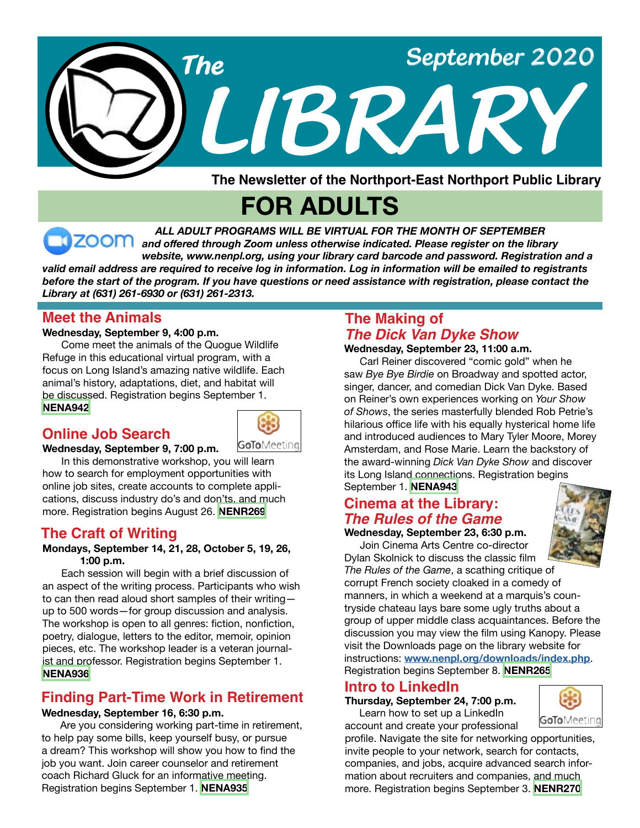

**The Newsletter of the Northport-East Northport Public Library**

# **FOR ADULTS**

*ALL ADULT PROGRAMS WILL BE VIRTUAL FOR THE MONTH OF SEPTEMBER and offered through Zoom unless otherwise indicated. Please register on the library website, www.nenpl.org, using your library card barcode and password. Registration and a valid email address are required to receive log in information. Log in information will be emailed to registrants*  before the start of the program. If you have questions or need assistance with registration, please contact the *Library at (631) 261-6930 or (631) 261-2313.*

### **Meet the Animals**

#### **Wednesday, September 9, 4:00 p.m.**

**Wednesday, September 9, 7:00 p.m.**

 Come meet the animals of the Quogue Wildlife Refuge in this educational virtual program, with a focus on Long Island's amazing native wildlife. Each animal's history, adaptations, diet, and habitat will be discussed. Registration begins September 1. **[NENA942](https://search.livebrary.com/record=g1100450~S43)**

### **Online Job Search**



 In this demonstrative workshop, you will learn how to search for employment opportunities with online job sites, create accounts to complete applications, discuss industry do's and don'ts, and much more. Registration begins August 26. **[NENR269](https://search.livebrary.com/record=g1100856~S43)**

## **The Craft of Writing**

#### **Mondays, September 14, 21, 28, October 5, 19, 26, 1:00 p.m.**

 Each session will begin with a brief discussion of an aspect of the writing process. Participants who wish to can then read aloud short samples of their writing up to 500 words—for group discussion and analysis. The workshop is open to all genres: fiction, nonfiction, poetry, dialogue, letters to the editor, memoir, opinion pieces, etc. The workshop leader is a veteran journalist and professor. Registration begins September 1. **[NENA936](https://search.livebrary.com/record=g1100425~S43)**

## **Finding Part-Time Work in Retirement**

#### **Wednesday, September 16, 6:30 p.m.**

 Are you considering working part-time in retirement, to help pay some bills, keep yourself busy, or pursue a dream? This workshop will show you how to find the job you want. Join career counselor and retirement coach Richard Gluck for an informative meeting. Registration begins September 1. **[NENA935](https://search.livebrary.com/record=g1100421~S43)**

## **The Making of**  *The Dick Van Dyke Show*

#### **Wednesday, September 23, 11:00 a.m.**

 Carl Reiner discovered "comic gold" when he saw *Bye Bye Birdie* on Broadway and spotted actor, singer, dancer, and comedian Dick Van Dyke. Based on Reiner's own experiences working on *Your Show of Shows*, the series masterfully blended Rob Petrie's hilarious office life with his equally hysterical home life and introduced audiences to Mary Tyler Moore, Morey Amsterdam, and Rose Marie. Learn the backstory of the award-winning *Dick Van Dyke Show* and discover its Long Island connections. Registration begins September 1. **[NENA943](https://search.livebrary.com/record=g1100522~S43)**

### **Cinema at the Library:** *The Rules of the Game*

**Wednesday, September 23, 6:30 p.m.** Join Cinema Arts Centre co-director Dylan Skolnick to discuss the classic film



*The Rules of the Game*, a scathing critique of corrupt French society cloaked in a comedy of manners, in which a weekend at a marquis's countryside chateau lays bare some ugly truths about a group of upper middle class acquaintances. Before the discussion you may view the film using Kanopy. Please visit the Downloads page on the library website for instructions: **[www.nenpl.org/downloads/index.php](http://www.nenpl.org/downloads/index.php)**. Registration begins September 8. **[NENR265](https://search.livebrary.com/record=g1100910~S43)**

## **Intro to LinkedIn**

**Thursday, September 24, 7:00 p.m.** Learn how to set up a LinkedIn account and create your professional



profile. Navigate the site for networking opportunities, invite people to your network, search for contacts, companies, and jobs, acquire advanced search information about recruiters and companies, and much more. Registration begins September 3. **[NENR270](https://search.livebrary.com/record=g1100911~S43)**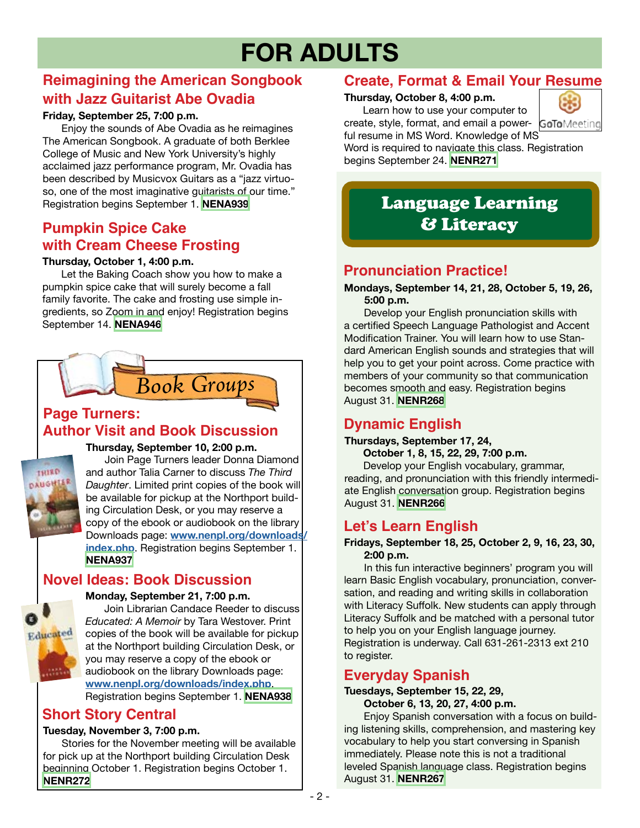# **FOR ADULTS**

## **Reimagining the American Songbook with Jazz Guitarist Abe Ovadia**

#### **Friday, September 25, 7:00 p.m.**

Enjoy the sounds of Abe Ovadia as he reimagines The American Songbook. A graduate of both Berklee College of Music and New York University's highly acclaimed jazz performance program, Mr. Ovadia has been described by Musicvox Guitars as a "jazz virtuoso, one of the most imaginative guitarists of our time." Registration begins September 1. **[NENA939](https://search.livebrary.com/record=g1100426~S43)**

## **Pumpkin Spice Cake with Cream Cheese Frosting**

#### **Thursday, October 1, 4:00 p.m.**

Let the Baking Coach show you how to make a pumpkin spice cake that will surely become a fall family favorite. The cake and frosting use simple ingredients, so Zoom in and enjoy! Registration begins September 14. **[NENA946](https://search.livebrary.com/record=g1100536~S43)**



## **Page Turners: Author Visit and Book Discussion**



**Thursday, September 10, 2:00 p.m.**

 Join Page Turners leader Donna Diamond and author Talia Carner to discuss *The Third Daughter*. Limited print copies of the book will be available for pickup at the Northport building Circulation Desk, or you may reserve a copy of the ebook or audiobook on the library Downloads page: **[www.nenpl.org/downloads/](http://www.nenpl.org/downloads/index.php) [index.php](http://www.nenpl.org/downloads/index.php)**. Registration begins September 1. **[NENA937](https://search.livebrary.com/record=g1100437~S43)**

## **Novel Ideas: Book Discussion**

#### **Monday, September 21, 7:00 p.m.**



 Join Librarian Candace Reeder to discuss *Educated: A Memoir* by Tara Westover. Print copies of the book will be available for pickup at the Northport building Circulation Desk, or you may reserve a copy of the ebook or audiobook on the library Downloads page: **[www.nenpl.org/downloads/index.php](http://www.nenpl.org/downloads/index.php)**.

Registration begins September 1. **[NENA938](https://search.livebrary.com/record=g1100524~S43)**

## **Short Story Central**

#### **Tuesday, November 3, 7:00 p.m.**

Stories for the November meeting will be available for pick up at the Northport building Circulation Desk beginning October 1. Registration begins October 1. **[NENR272](https://search.livebrary.com/record=g1101010~S43)**

## **Create, Format & Email Your Resume**

#### **Thursday, October 8, 4:00 p.m.**

Learn how to use your computer to create, style, format, and email a power- GoToMeeting



ful resume in MS Word. Knowledge of MS Word is required to navigate this class. Registration begins September 24. **[NENR271](https://search.livebrary.com/record=g1101016~S43)**

## Language Learning & Literacy

## **Pronunciation Practice!**

#### **Mondays, September 14, 21, 28, October 5, 19, 26, 5:00 p.m.**

 Develop your English pronunciation skills with a certified Speech Language Pathologist and Accent Modification Trainer. You will learn how to use Standard American English sounds and strategies that will help you to get your point across. Come practice with members of your community so that communication becomes smooth and easy. Registration begins August 31. **[NENR268](https://search.livebrary.com/record=g1100864~S43)**

## **Dynamic English**

#### **Thursdays, September 17, 24,**

 **October 1, 8, 15, 22, 29, 7:00 p.m.** Develop your English vocabulary, grammar, reading, and pronunciation with this friendly intermediate English conversation group. Registration begins August 31. **[NENR266](https://search.livebrary.com/record=g1100908~S43)**

## **Let's Learn English**

#### **Fridays, September 18, 25, October 2, 9, 16, 23, 30, 2:00 p.m.**

In this fun interactive beginners' program you will learn Basic English vocabulary, pronunciation, conversation, and reading and writing skills in collaboration with Literacy Suffolk. New students can apply through Literacy Suffolk and be matched with a personal tutor to help you on your English language journey. Registration is underway. Call 631-261-2313 ext 210 to register.

## **Everyday Spanish**

#### **Tuesdays, September 15, 22, 29,**

 **October 6, 13, 20, 27, 4:00 p.m.**

 Enjoy Spanish conversation with a focus on building listening skills, comprehension, and mastering key vocabulary to help you start conversing in Spanish immediately. Please note this is not a traditional leveled Spanish language class. Registration begins August 31. **[NENR267](https://search.livebrary.com/record=g1100907~S43)**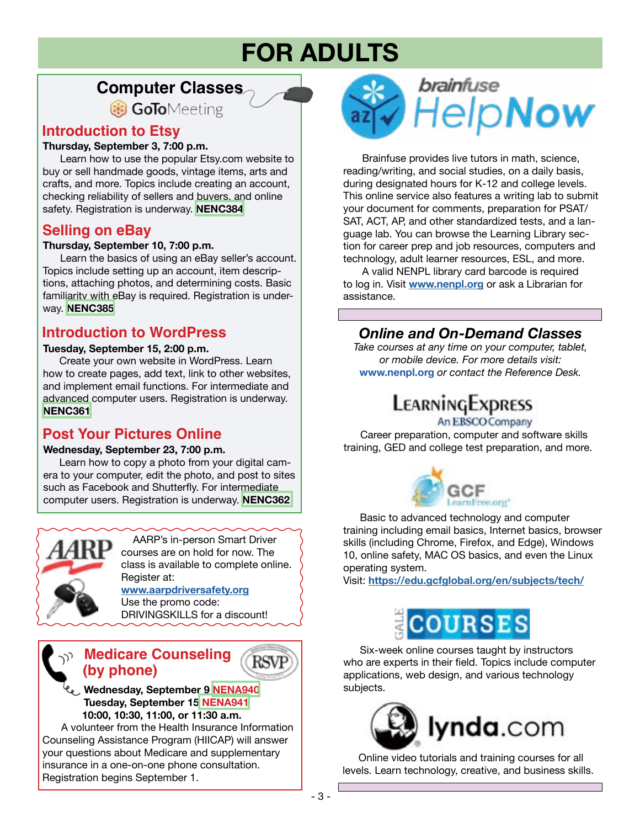# **FOR ADULTS**

## **Computer Classes**

**B** GoToMeeting

## **Introduction to Etsy**

#### **Thursday, September 3, 7:00 p.m.**

 Learn how to use the popular Etsy.com website to buy or sell handmade goods, vintage items, arts and crafts, and more. Topics include creating an account, checking reliability of sellers and buyers, and online safety. Registration is underway. **[NENC384](https://search.livebrary.com/record=g1100593~S43)**

### **Selling on eBay**

#### **Thursday, September 10, 7:00 p.m.**

 Learn the basics of using an eBay seller's account. Topics include setting up an account, item descriptions, attaching photos, and determining costs. Basic familiarity with eBay is required. Registration is underway. **[NENC385](https://search.livebrary.com/record=g1100594~S43)**

## **Introduction to WordPress**

#### **Tuesday, September 15, 2:00 p.m.**

 Create your own website in WordPress. Learn how to create pages, add text, link to other websites, and implement email functions. For intermediate and advanced computer users. Registration is underway. **[NENC361](https://search.livebrary.com/record=g1100595~S43)**

## **Post Your Pictures Online**

#### **Wednesday, September 23, 7:00 p.m.**

 Learn how to copy a photo from your digital camera to your computer, edit the photo, and post to sites such as Facebook and Shutterfly. For intermediate computer users. Registration is underway. **[NENC362](https://search.livebrary.com/record=g1100596~S43)**



 AARP's in-person Smart Driver courses are on hold for now. The class is available to complete online. Register at: **[www.aarpdriversafety.org](http://www.aarpdriversafety.org)**

Use the promo code: DRIVINGSKILLS for a discount!

## **Medicare Counseling (by phone)**

 **Wednesday, September 9 [NENA940](https://search.livebrary.com/record=g1100526~S43) Tuesday, September 15 [NENA941](https://search.livebrary.com/record=g1100528~S43) 10:00, 10:30, 11:00, or 11:30 a.m.**

A volunteer from the Health Insurance Information Counseling Assistance Program (HIICAP) will answer your questions about Medicare and supplementary insurance in a one-on-one phone consultation. Registration begins September 1.



Brainfuse provides live tutors in math, science, reading/writing, and social studies, on a daily basis, during designated hours for K-12 and college levels. This online service also features a writing lab to submit your document for comments, preparation for PSAT/ SAT, ACT, AP, and other standardized tests, and a language lab. You can browse the Learning Library section for career prep and job resources, computers and technology, adult learner resources, ESL, and more.

A valid NENPL library card barcode is required to log in. Visit **[www.nenpl.org](http://www.nenpl.org)** or ask a Librarian for assistance.

## *Online and On-Demand Classes*

*Take courses at any time on your computer, tablet, or mobile device. For more details visit:* **www.nenpl.org** *or contact the Reference Desk.*

## LEARNINGEXPRESS

#### An EBSCO Company

 Career preparation, computer and software skills training, GED and college test preparation, and more.



 Basic to advanced technology and computer training including email basics, Internet basics, browser skills (including Chrome, Firefox, and Edge), Windows 10, online safety, MAC OS basics, and even the Linux operating system.

Visit: **<https://edu.gcfglobal.org/en/subjects/tech/>**



 Six-week online courses taught by instructors who are experts in their field. Topics include computer applications, web design, and various technology subjects.



 Online video tutorials and training courses for all levels. Learn technology, creative, and business skills.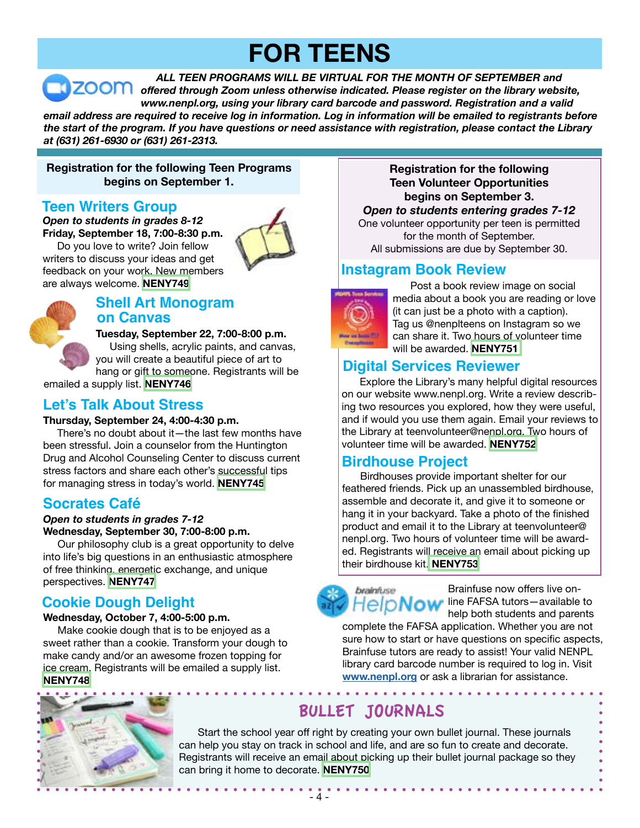# **FOR TEENS**

*ALL TEEN PROGRAMS WILL BE VIRTUAL FOR THE MONTH OF SEPTEMBER and offered through Zoom unless otherwise indicated. Please register on the library website, www.nenpl.org, using your library card barcode and password. Registration and a valid email address are required to receive log in information. Log in information will be emailed to registrants before the start of the program. If you have questions or need assistance with registration, please contact the Library at (631) 261-6930 or (631) 261-2313.*

#### **Registration for the following Teen Programs begins on September 1.**

### **Teen Writers Group**

*Open to students in grades 8-12* **Friday, September 18, 7:00-8:30 p.m.** 

 Do you love to write? Join fellow writers to discuss your ideas and get feedback on your work. New members are always welcome. **[NENY749](https://search.livebrary.com/record=g1101055~S43)**





#### **Shell Art Monogram on Canvas**

**Tuesday, September 22, 7:00-8:00 p.m.**

Using shells, acrylic paints, and canvas, you will create a beautiful piece of art to hang or gift to someone. Registrants will be

emailed a supply list. **[NENY746](https://search.livebrary.com/record=g1100716~S43)**

## **Let's Talk About Stress**

#### **Thursday, September 24, 4:00-4:30 p.m.**

There's no doubt about it—the last few months have been stressful. Join a counselor from the Huntington Drug and Alcohol Counseling Center to discuss current stress factors and share each other's successful tips for managing stress in today's world. **[NENY745](https://search.livebrary.com/record=g1100718~S43)**

## **Socrates Café**

#### *Open to students in grades 7-12* **Wednesday, September 30, 7:00-8:00 p.m.**

 Our philosophy club is a great opportunity to delve into life's big questions in an enthusiastic atmosphere of free thinking, energetic exchange, and unique perspectives. **[NENY747](https://search.livebrary.com/record=g1100720~S43)**

## **Cookie Dough Delight**

#### **Wednesday, October 7, 4:00-5:00 p.m.**

 Make cookie dough that is to be enjoyed as a sweet rather than a cookie. Transform your dough to make candy and/or an awesome frozen topping for ice cream. Registrants will be emailed a supply list. **[NENY748](https://search.livebrary.com/record=g1100722~S43)**



#### **Registration for the following Teen Volunteer Opportunities begins on September 3.**

#### *Open to students entering grades 7-12*

One volunteer opportunity per teen is permitted for the month of September. All submissions are due by September 30.

## **Instagram Book Review**



 Post a book review image on social media about a book you are reading or love (it can just be a photo with a caption). Tag us @nenplteens on Instagram so we can share it. Two hours of volunteer time will be awarded. **[NENY751](https://search.livebrary.com/record=g1100726~S43)**

## **Digital Services Reviewer**

 Explore the Library's many helpful digital resources on our website www.nenpl.org. Write a review describing two resources you explored, how they were useful, and if would you use them again. Email your reviews to the Library at teenvolunteer@nenpl.org. Two hours of volunteer time will be awarded. **[NENY752](https://search.livebrary.com/record=g1100730~S43)**

## **Birdhouse Project**

 Birdhouses provide important shelter for our feathered friends. Pick up an unassembled birdhouse, assemble and decorate it, and give it to someone or hang it in your backyard. Take a photo of the finished product and email it to the Library at teenvolunteer@ nenpl.org. Two hours of volunteer time will be awarded. Registrants will receive an email about picking up their birdhouse kit. **[NENY753](https://search.livebrary.com/record=g1101060~S43)**

Brainfuse now offers live on**lelpNow** line FAFSA tutors-available to help both students and parents

complete the FAFSA application. Whether you are not sure how to start or have questions on specific aspects, Brainfuse tutors are ready to assist! Your valid NENPL library card barcode number is required to log in. Visit **[www.nenpl.org](http://www.nenpl.org)** or ask a librarian for assistance.

## BULLET JOURNALS

brainfuse

Start the school year off right by creating your own bullet journal. These journals can help you stay on track in school and life, and are so fun to create and decorate. Registrants will receive an email about picking up their bullet journal package so they can bring it home to decorate. **[NENY750](https://search.livebrary.com/record=g1101059~S43)**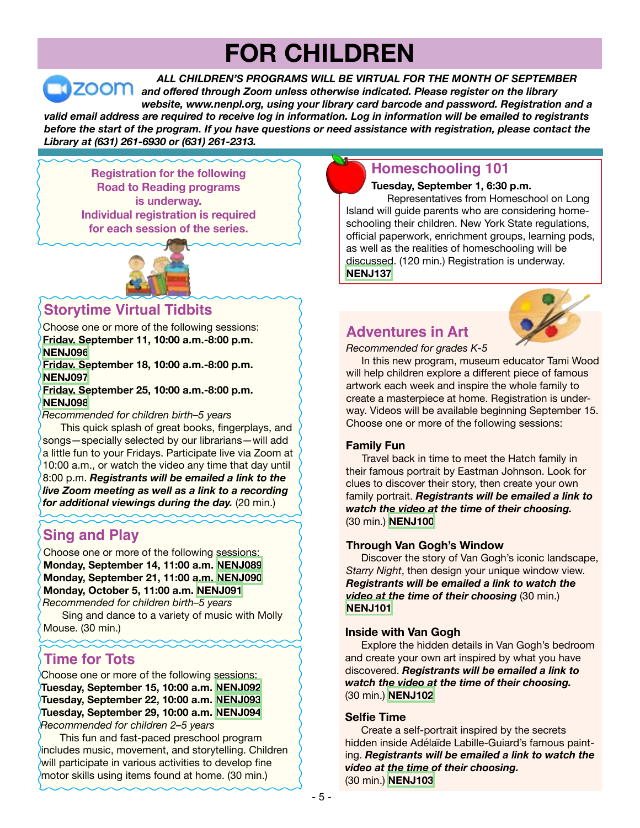# **FOR CHILDREN**

*ALL CHILDREN'S PROGRAMS WILL BE VIRTUAL FOR THE MONTH OF SEPTEMBER* **ZOOM** and offered through Zoom unless otherwise indicated. Please register on the library *website, www.nenpl.org, using your library card barcode and password. Registration and a valid email address are required to receive log in information. Log in information will be emailed to registrants before the start of the program. If you have questions or need assistance with registration, please contact the Library at (631) 261-6930 or (631) 261-2313.*

**Registration for the following Road to Reading programs is underway. Individual registration is required for each session of the series.** 



## **Storytime Virtual Tidbits**

Choose one or more of the following sessions: **Friday, September 11, 10:00 a.m.-8:00 p.m. [NENJ096](https://search.livebrary.com/record=g1100800~S43)**

#### **Friday, September 18, 10:00 a.m.-8:00 p.m. [NENJ097](https://search.livebrary.com/record=g1100801~S43)**

**Friday, September 25, 10:00 a.m.-8:00 p.m. [NENJ098](https://search.livebrary.com/record=g1100802~S43)**

*Recommended for children birth–5 years*

 This quick splash of great books, fingerplays, and songs—specially selected by our librarians—will add a little fun to your Fridays. Participate live via Zoom at 10:00 a.m., or watch the video any time that day until 8:00 p.m. *Registrants will be emailed a link to the live Zoom meeting as well as a link to a recording for additional viewings during the day.* (20 min.)

## **Sing and Play**

Choose one or more of the following sessions: **Monday, September 14, 11:00 a.m. [NENJ089](https://search.livebrary.com/record=g1100414~S43) Monday, September 21, 11:00 a.m. [NENJ090](https://search.livebrary.com/record=g1100415~S43) Monday, October 5, 11:00 a.m. [NENJ091](https://search.livebrary.com/record=g1100416~S43)** *Recommended for children birth–5 years*

 Sing and dance to a variety of music with Molly Mouse. (30 min.)

## **Time for Tots**

Choose one or more of the following sessions: **Tuesday, September 15, 10:00 a.m. [NENJ092](https://search.livebrary.com/record=g1100417~S43) Tuesday, September 22, 10:00 a.m. [NENJ093](https://search.livebrary.com/record=g1100418~S43) Tuesday, September 29, 10:00 a.m. [NENJ094](https://search.livebrary.com/record=g1100419~S43)** *Recommended for children 2–5 years*

 This fun and fast-paced preschool program includes music, movement, and storytelling. Children will participate in various activities to develop fine motor skills using items found at home. (30 min.)

## **Homeschooling 101**

**Tuesday, September 1, 6:30 p.m.**

Representatives from Homeschool on Long Island will guide parents who are considering homeschooling their children. New York State regulations, official paperwork, enrichment groups, learning pods, as well as the realities of homeschooling will be discussed. (120 min.) Registration is underway. **[NENJ137](https://search.livebrary.com/record=g1100795~S43)**

### **Adventures in Art**



*Recommended for grades K-5*

In this new program, museum educator Tami Wood will help children explore a different piece of famous artwork each week and inspire the whole family to create a masterpiece at home. Registration is underway. Videos will be available beginning September 15. Choose one or more of the following sessions:

#### **Family Fun**

Travel back in time to meet the Hatch family in their famous portrait by Eastman Johnson. Look for clues to discover their story, then create your own family portrait. *Registrants will be emailed a link to watch the video at the time of their choosing.* (30 min.) **[NENJ100](https://search.livebrary.com/record=g1100510~S43)**

#### **Through Van Gogh's Window**

Discover the story of Van Gogh's iconic landscape, *Starry Night*, then design your unique window view. *Registrants will be emailed a link to watch the video at the time of their choosing* (30 min.) **[NENJ101](https://search.livebrary.com/record=g1100531~S43)**

#### **Inside with Van Gogh**

Explore the hidden details in Van Gogh's bedroom and create your own art inspired by what you have discovered. *Registrants will be emailed a link to watch the video at the time of their choosing.* (30 min.) **[NENJ102](https://search.livebrary.com/record=g1100532~S43)**

#### **Selfie Time**

Create a self-portrait inspired by the secrets hidden inside Adélaïde Labille-Guiard's famous painting. *Registrants will be emailed a link to watch the video at the time of their choosing.* (30 min.) **[NENJ103](https://search.livebrary.com/record=g1100533~S43)**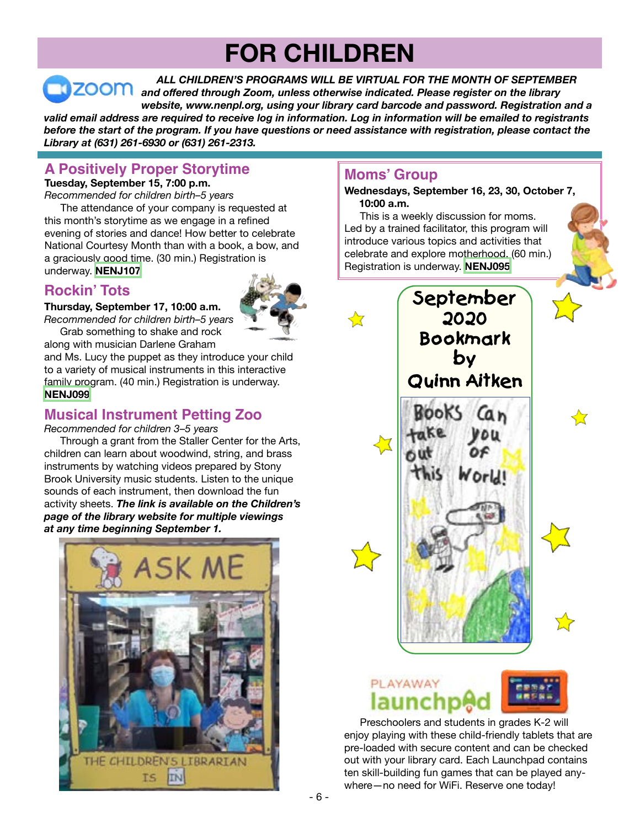# **FOR CHILDREN**

*ALL CHILDREN'S PROGRAMS WILL BE VIRTUAL FOR THE MONTH OF SEPTEMBER and offered through Zoom, unless otherwise indicated. Please register on the library website, www.nenpl.org, using your library card barcode and password. Registration and a valid email address are required to receive log in information. Log in information will be emailed to registrants before the start of the program. If you have questions or need assistance with registration, please contact the Library at (631) 261-6930 or (631) 261-2313.*

## **A Positively Proper Storytime**

**Tuesday, September 15, 7:00 p.m.**

*Recommended for children birth–5 years* The attendance of your company is requested at this month's storytime as we engage in a refined evening of stories and dance! How better to celebrate National Courtesy Month than with a book, a bow, and a graciously good time. (30 min.) Registration is underway. **[NENJ107](https://search.livebrary.com/record=g1100540~S43)**

## **Rockin' Tots**

**Thursday, September 17, 10:00 a.m.**



*Recommended for children birth–5 years* Grab something to shake and rock

along with musician Darlene Graham

and Ms. Lucy the puppet as they introduce your child to a variety of musical instruments in this interactive family program. (40 min.) Registration is underway. **[NENJ099](https://search.livebrary.com/record=g1100438~S43)**

## **Musical Instrument Petting Zoo**

*Recommended for children 3–5 years*

 Through a grant from the Staller Center for the Arts, children can learn about woodwind, string, and brass instruments by watching videos prepared by Stony Brook University music students. Listen to the unique sounds of each instrument, then download the fun activity sheets. *The link is available on the Children's page of the library website for multiple viewings at any time beginning September 1.*



## **Moms' Group**

**Wednesdays, September 16, 23, 30, October 7, 10:00 a.m.**

This is a weekly discussion for moms. Led by a trained facilitator, this program will introduce various topics and activities that celebrate and explore motherhood. (60 min.) Registration is underway. **[NENJ095](https://search.livebrary.com/record=g1100500~S43)**





Preschoolers and students in grades K-2 will enjoy playing with these child-friendly tablets that are pre-loaded with secure content and can be checked out with your library card. Each Launchpad contains ten skill-building fun games that can be played anywhere—no need for WiFi. Reserve one today!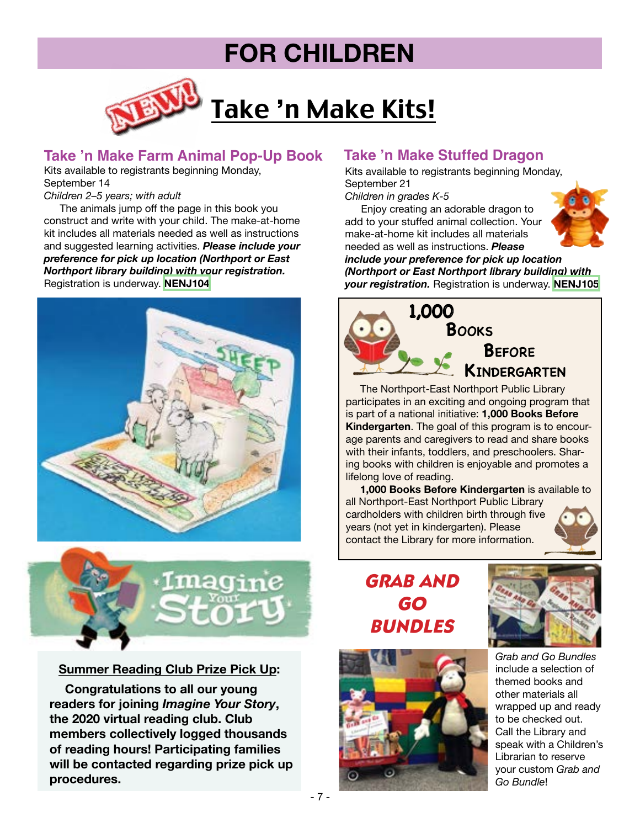## **FOR CHILDREN**



### **Take 'n Make Farm Animal Pop-Up Book**

Kits available to registrants beginning Monday, September 14

*Children 2–5 years; with adult*

 The animals jump off the page in this book you construct and write with your child. The make-at-home kit includes all materials needed as well as instructions and suggested learning activities. *Please include your preference for pick up location (Northport or East Northport library building) with your registration.*  Registration is underway. **[NENJ104](https://search.livebrary.com/record=g1100440~S43)**





#### **Summer Reading Club Prize Pick Up:**

 **Congratulations to all our young readers for joining** *Imagine Your Story***, the 2020 virtual reading club. Club members collectively logged thousands of reading hours! Participating families will be contacted regarding prize pick up procedures.** 

### **Take 'n Make Stuffed Dragon**

Kits available to registrants beginning Monday, September 21

*Children in grades K-5*

 Enjoy creating an adorable dragon to add to your stuffed animal collection. Your make-at-home kit includes all materials needed as well as instructions. *Please* 



*include your preference for pick up location (Northport or East Northport library building) with your registration.* Registration is underway. **[NENJ105](https://search.livebrary.com/record=g1100451~S43)**



 The Northport-East Northport Public Library participates in an exciting and ongoing program that is part of a national initiative: **1,000 Books Before Kindergarten**. The goal of this program is to encourage parents and caregivers to read and share books with their infants, toddlers, and preschoolers. Sharing books with children is enjoyable and promotes a lifelong love of reading.

 **1,000 Books Before Kindergarten** is available to all Northport-East Northport Public Library cardholders with children birth through five years (not yet in kindergarten). Please contact the Library for more information.



## *GRAB AND GO BUNDLES*





*Grab and Go Bundles* include a selection of themed books and other materials all wrapped up and ready to be checked out. Call the Library and speak with a Children's Librarian to reserve your custom *Grab and Go Bundle*!